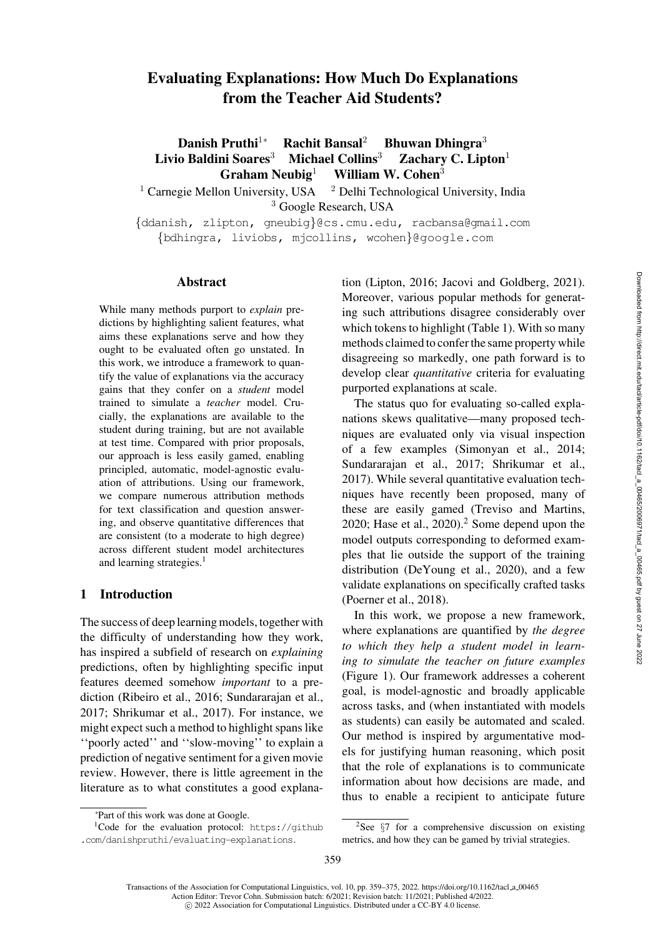# Evaluating Explanations: How Much Do Explanations from the Teacher Aid Students?

Danish Pruthi<sup>1</sup>∗ Rachit Bansal<sup>2</sup> Bhuwan Dhingra<sup>3</sup> Livio Baldini Soares<sup>3</sup> Michael Collins<sup>3</sup> Zachary C. Lipton<sup>1</sup> Graham Neubig<sup>1</sup> William W. Cohen<sup>3</sup>

<sup>1</sup> Carnegie Mellon University, USA  $^2$  Delhi Technological University, India <sup>3</sup> Google Research, USA

{[ddanish,](mailto:ddanish@cs.cmu.edu) [zlipton,](mailto:zlipton@cs.cmu.edu) [gneubig](mailto:gneubig@cs.cmu.edu)}@cs.cmu.edu, [racbansa@gmail.com](mailto:racbansa@gmail.com) {[bdhingra,](mailto:bdhingra@google.com) [liviobs,](mailto:liviobs@google.com) [mjcollins,](mailto:mjcollins@google.com) [wcohen](mailto:wcohen@google.com)}@google.com

### **Abstract**

While many methods purport to *explain* predictions by highlighting salient features, what aims these explanations serve and how they ought to be evaluated often go unstated. In this work, we introduce a framework to quantify the value of explanations via the accuracy gains that they confer on a *student* model trained to simulate a *teacher* model. Crucially, the explanations are available to the student during training, but are not available at test time. Compared with prior proposals, our approach is less easily gamed, enabling principled, automatic, model-agnostic evaluation of attributions. Using our framework, we compare numerous attribution methods for text classification and question answering, and observe quantitative differences that are consistent (to a moderate to high degree) across different student model architectures and learning strategies.<sup>1</sup>

### 1 Introduction

The success of deep learning models, together with the difficulty of understanding how they work, has inspired a subfield of research on *explaining* predictions, often by highlighting specific input features deemed somehow *important* to a prediction [\(Ribeiro et al., 2016;](#page-14-0) [Sundararajan et al.,](#page-14-1) [2017](#page-14-1); [Shrikumar et al.](#page-14-2), [2017](#page-14-2)). For instance, we might expect such a method to highlight spans like ''poorly acted'' and ''slow-moving'' to explain a prediction of negative sentiment for a given movie review. However, there is little agreement in the literature as to what constitutes a good explanation [\(Lipton](#page-13-0), [2016](#page-13-0); [Jacovi and Goldberg](#page-13-1), [2021](#page-13-1)). Moreover, various popular methods for generating such attributions disagree considerably over which tokens to highlight (Table [1\)](#page-1-0). With so many methods claimed to confer the same property while disagreeing so markedly, one path forward is to develop clear *quantitative* criteria for evaluating purported explanations at scale.

The status quo for evaluating so-called explanations skews qualitative—many proposed techniques are evaluated only via visual inspection of a few examples [\(Simonyan et al.](#page-14-3), [2014](#page-14-3); [Sundararajan et al.](#page-14-1), [2017;](#page-14-1) [Shrikumar et al.,](#page-14-2) [2017](#page-14-2)). While several quantitative evaluation techniques have recently been proposed, many of these are easily gamed [\(Treviso and Martins,](#page-14-4) [2020](#page-14-4); [Hase et al.](#page-13-2),  $2020$ ).<sup>2</sup> Some depend upon the model outputs corresponding to deformed examples that lie outside the support of the training distribution [\(DeYoung et al., 2020](#page-12-0)), and a few validate explanations on specifically crafted tasks [\(Poerner et al.](#page-13-3), [2018\)](#page-13-3).

In this work, we propose a new framework, where explanations are quantified by *the degree to which they help a student model in learning to simulate the teacher on future examples* (Figure [1\)](#page-1-1). Our framework addresses a coherent goal, is model-agnostic and broadly applicable across tasks, and (when instantiated with models as students) can easily be automated and scaled. Our method is inspired by argumentative models for justifying human reasoning, which posit that the role of explanations is to communicate information about how decisions are made, and thus to enable a recipient to anticipate future

c 2022 Association for Computational Linguistics. Distributed under a CC-BY 4.0 license.

<sup>∗</sup> Part of this work was done at Google.

<span id="page-0-0"></span> $1$ Code for the evaluation protocol: [https://github](https://github.com/danishpruthi/evaluating-explanations) [.com/danishpruthi/evaluating-explanations](https://github.com/danishpruthi/evaluating-explanations).

<span id="page-0-1"></span> $2$ See  $\S$ [7](#page-11-0) for a comprehensive discussion on existing metrics, and how they can be gamed by trivial strategies.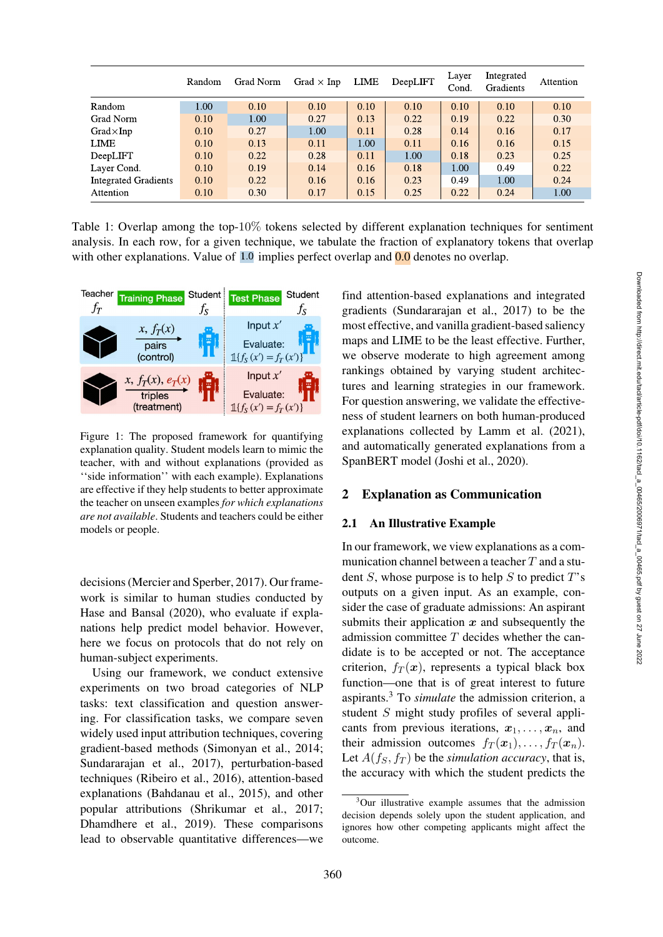|                             | Random | Grad Norm | Grad $\times$ Inp | LIME | DeepLIFT | Layer<br>Cond. | Integrated<br>Gradients | Attention |
|-----------------------------|--------|-----------|-------------------|------|----------|----------------|-------------------------|-----------|
| Random                      | 1.00   | 0.10      | 0.10              | 0.10 | 0.10     | 0.10           | 0.10                    | 0.10      |
| Grad Norm                   | 0.10   | 1.00      | 0.27              | 0.13 | 0.22     | 0.19           | 0.22                    | 0.30      |
| $Grad \times Inp$           | 0.10   | 0.27      | 1.00              | 0.11 | 0.28     | 0.14           | 0.16                    | 0.17      |
| <b>LIME</b>                 | 0.10   | 0.13      | 0.11              | 1.00 | 0.11     | 0.16           | 0.16                    | 0.15      |
| DeepLIFT                    | 0.10   | 0.22      | 0.28              | 0.11 | 1.00     | 0.18           | 0.23                    | 0.25      |
| Layer Cond.                 | 0.10   | 0.19      | 0.14              | 0.16 | 0.18     | 1.00           | 0.49                    | 0.22      |
| <b>Integrated Gradients</b> | 0.10   | 0.22      | 0.16              | 0.16 | 0.23     | 0.49           | 1.00                    | 0.24      |
| Attention                   | 0.10   | 0.30      | 0.17              | 0.15 | 0.25     | 0.22           | 0.24                    | 1.00      |

<span id="page-1-0"></span>Table 1: Overlap among the top-10% tokens selected by different explanation techniques for sentiment analysis. In each row, for a given technique, we tabulate the fraction of explanatory tokens that overlap with other explanations. Value of  $1.0$  implies perfect overlap and  $0.0$  denotes no overlap.



<span id="page-1-1"></span>Figure 1: The proposed framework for quantifying explanation quality. Student models learn to mimic the teacher, with and without explanations (provided as ''side information'' with each example). Explanations are effective if they help students to better approximate the teacher on unseen examples *for which explanations are not available*. Students and teachers could be either models or people.

decisions [\(Mercier and Sperber](#page-13-4), [2017\)](#page-13-4). Our framework is similar to human studies conducted by [Hase and Bansal](#page-13-5) [\(2020\)](#page-13-5), who evaluate if explanations help predict model behavior. However, here we focus on protocols that do not rely on human-subject experiments.

Using our framework, we conduct extensive experiments on two broad categories of NLP tasks: text classification and question answering. For classification tasks, we compare seven widely used input attribution techniques, covering gradient-based methods [\(Simonyan et al.](#page-14-3), [2014](#page-14-3); [Sundararajan et al., 2017](#page-14-1)), perturbation-based techniques [\(Ribeiro et al., 2016](#page-14-0)), attention-based explanations [\(Bahdanau et al.](#page-12-1), [2015](#page-12-1)), and other popular attributions [\(Shrikumar et al., 2017](#page-14-2); [Dhamdhere et al.](#page-13-6), [2019\)](#page-13-6). These comparisons lead to observable quantitative differences—we

find attention-based explanations and integrated gradients [\(Sundararajan et al., 2017\)](#page-14-1) to be the most effective, and vanilla gradient-based saliency maps and LIME to be the least effective. Further, we observe moderate to high agreement among rankings obtained by varying student architectures and learning strategies in our framework. For question answering, we validate the effectiveness of student learners on both human-produced explanations collected by [Lamm et al.](#page-13-7) [\(2021](#page-13-7)), and automatically generated explanations from a SpanBERT model [\(Joshi et al., 2020](#page-13-8)).

# 2 Explanation as Communication

### 2.1 An Illustrative Example

In our framework, we view explanations as a communication channel between a teacher  $T$  and a student  $S$ , whose purpose is to help  $S$  to predict  $T$ 's outputs on a given input. As an example, consider the case of graduate admissions: An aspirant submits their application *x* and subsequently the admission committee  $T$  decides whether the candidate is to be accepted or not. The acceptance criterion,  $f_T(x)$ , represents a typical black box function—one that is of great interest to future aspirants.[3](#page-1-2) To *simulate* the admission criterion, a student S might study profiles of several applicants from previous iterations,  $x_1, \ldots, x_n$ , and their admission outcomes  $f_T(\mathbf{x}_1), \ldots, f_T(\mathbf{x}_n)$ . Let  $A(f_S, f_T)$  be the *simulation accuracy*, that is, the accuracy with which the student predicts the

<span id="page-1-2"></span><sup>&</sup>lt;sup>3</sup>Our illustrative example assumes that the admission decision depends solely upon the student application, and ignores how other competing applicants might affect the outcome.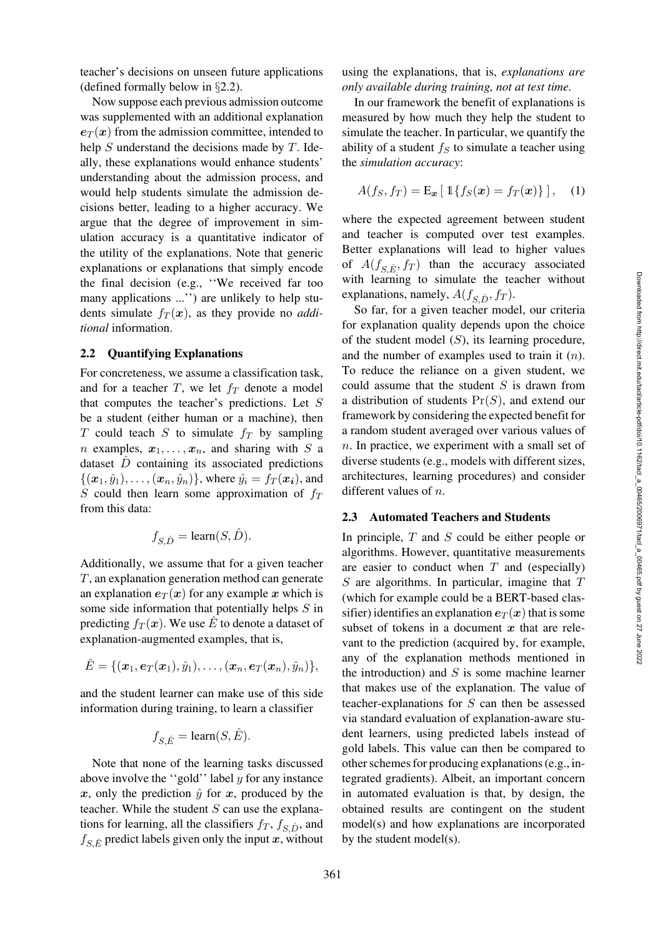teacher's decisions on unseen future applications (defined formally below in §[2.2\)](#page-2-0).

Now suppose each previous admission outcome was supplemented with an additional explanation  $e_T(x)$  from the admission committee, intended to help  $S$  understand the decisions made by  $T$ . Ideally, these explanations would enhance students' understanding about the admission process, and would help students simulate the admission decisions better, leading to a higher accuracy. We argue that the degree of improvement in simulation accuracy is a quantitative indicator of the utility of the explanations. Note that generic explanations or explanations that simply encode the final decision (e.g., ''We received far too many applications ...'') are unlikely to help students simulate  $f_T(x)$ , as they provide no *additional* information.

#### <span id="page-2-0"></span>2.2 Quantifying Explanations

For concreteness, we assume a classification task, and for a teacher  $T$ , we let  $f_T$  denote a model that computes the teacher's predictions. Let S be a student (either human or a machine), then T could teach S to simulate  $f_T$  by sampling *n* examples,  $x_1, \ldots, x_n$ , and sharing with S a dataset  $\hat{D}$  containing its associated predictions  $\{(\bm{x}_1, \hat{y}_1), \ldots, (\bm{x}_n, \hat{y}_n)\}\$ , where  $\hat{y}_i = f_T(\bm{x_i})$ , and S could then learn some approximation of  $f_T$ from this data:

$$
f_{S,\hat{D}} = \text{learn}(S,\hat{D}).
$$

Additionally, we assume that for a given teacher T, an explanation generation method can generate an explanation  $e_T(x)$  for any example x which is some side information that potentially helps S in predicting  $f_T(\mathbf{x})$ . We use E to denote a dataset of explanation-augmented examples, that is,

$$
\hat{E} = \{(\bm{x}_1, \bm{e}_T(\bm{x}_1), \hat{y}_1), \dots, (\bm{x}_n, \bm{e}_T(\bm{x}_n), \hat{y}_n)\},
$$

and the student learner can make use of this side information during training, to learn a classifier

$$
f_{S,\hat{E}} = \text{learn}(S, \hat{E}).
$$

Note that none of the learning tasks discussed above involve the "gold" label  $y$  for any instance *x*, only the prediction  $\hat{y}$  for *x*, produced by the teacher. While the student  $S$  can use the explanations for learning, all the classifiers  $f_T$ ,  $f_{S,\hat{D}}$ , and  $f_{S,\hat{E}}$  predict labels given only the input *x*, without using the explanations, that is, *explanations are only available during training, not at test time.*

In our framework the benefit of explanations is measured by how much they help the student to simulate the teacher. In particular, we quantify the ability of a student  $f_S$  to simulate a teacher using the *simulation accuracy*:

$$
A(f_S, f_T) = \mathbf{E}_{\boldsymbol{x}} \left[ \mathbb{1} \{ f_S(\boldsymbol{x}) = f_T(\boldsymbol{x}) \} \right], \quad (1)
$$

where the expected agreement between student and teacher is computed over test examples. Better explanations will lead to higher values of  $A(f_{\text{S},\hat{E}}, f_T)$  than the accuracy associated with learning to simulate the teacher without explanations, namely,  $A(f_{S,\hat{D}}, f_T)$ .

So far, for a given teacher model, our criteria for explanation quality depends upon the choice of the student model  $(S)$ , its learning procedure, and the number of examples used to train it  $(n)$ . To reduce the reliance on a given student, we could assume that the student  $S$  is drawn from a distribution of students  $Pr(S)$ , and extend our framework by considering the expected benefit for a random student averaged over various values of  $n$ . In practice, we experiment with a small set of diverse students (e.g., models with different sizes, architectures, learning procedures) and consider different values of n.

### 2.3 Automated Teachers and Students

In principle,  $T$  and  $S$  could be either people or algorithms. However, quantitative measurements are easier to conduct when  $T$  and (especially)  $S$  are algorithms. In particular, imagine that  $T$ (which for example could be a BERT-based classifier) identifies an explanation  $e_T(x)$  that is some subset of tokens in a document *x* that are relevant to the prediction (acquired by, for example, any of the explanation methods mentioned in the introduction) and  $S$  is some machine learner that makes use of the explanation. The value of teacher-explanations for  $S$  can then be assessed via standard evaluation of explanation-aware student learners, using predicted labels instead of gold labels. This value can then be compared to other schemes for producing explanations (e.g., integrated gradients). Albeit, an important concern in automated evaluation is that, by design, the obtained results are contingent on the student model(s) and how explanations are incorporated by the student model(s).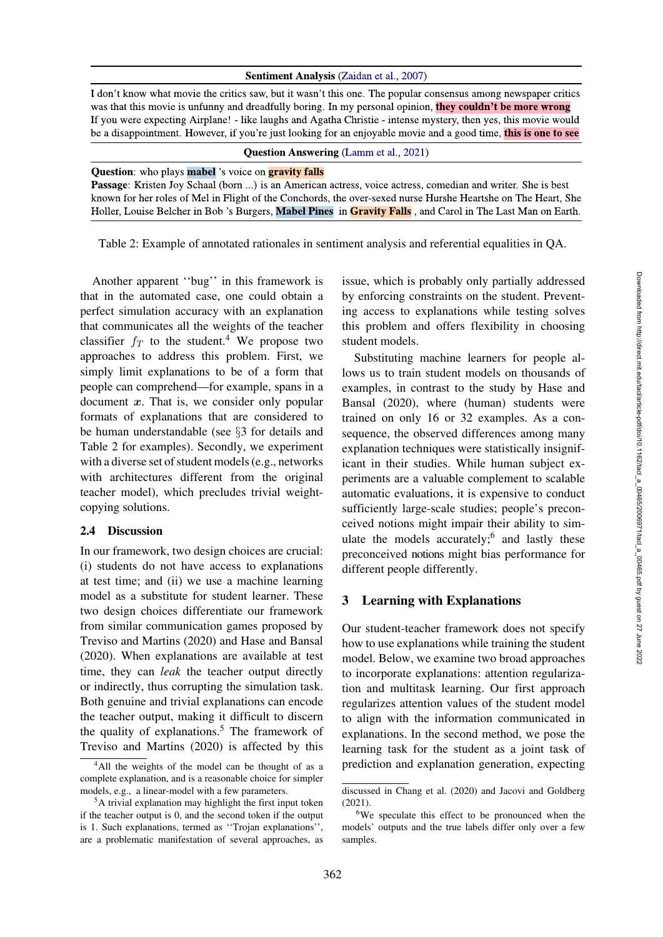#### Sentiment Analysis (Zaidan et al., 2007)

I don't know what movie the critics saw, but it wasn't this one. The popular consensus among newspaper critics was that this movie is unfunny and dreadfully boring. In my personal opinion, they couldn't be more wrong If you were expecting Airplane! - like laughs and Agatha Christie - intense mystery, then yes, this movie would be a disappointment. However, if you're just looking for an enjoyable movie and a good time, this is one to see

#### **Question Answering (Lamm et al., 2021)**

#### **Question:** who plays **mabel** 's voice on **gravity falls**

Passage: Kristen Joy Schaal (born ...) is an American actress, voice actress, comedian and writer. She is best known for her roles of Mel in Flight of the Conchords, the over-sexed nurse Hurshe Heartshe on The Heart, She Holler, Louise Belcher in Bob 's Burgers, Mabel Pines in Gravity Falls, and Carol in The Last Man on Earth.

<span id="page-3-2"></span>Table 2: Example of annotated rationales in sentiment analysis and referential equalities in QA.

Another apparent ''bug'' in this framework is that in the automated case, one could obtain a perfect simulation accuracy with an explanation that communicates all the weights of the teacher classifier  $f_T$  to the student.<sup>4</sup> We propose two approaches to address this problem. First, we simply limit explanations to be of a form that people can comprehend—for example, spans in a document *x*. That is, we consider only popular formats of explanations that are considered to be human understandable (see §[3](#page-3-1) for details and Table [2](#page-3-2) for examples). Secondly, we experiment with a diverse set of student models (e.g., networks with architectures different from the original teacher model), which precludes trivial weightcopying solutions.

#### <span id="page-3-5"></span>2.4 Discussion

In our framework, two design choices are crucial: (i) students do not have access to explanations at test time; and (ii) we use a machine learning model as a substitute for student learner. These two design choices differentiate our framework from similar communication games proposed by [Treviso and Martins](#page-14-4) [\(2020\)](#page-14-4) and [Hase and Bansal](#page-13-5) [\(2020\)](#page-13-5). When explanations are available at test time, they can *leak* the teacher output directly or indirectly, thus corrupting the simulation task. Both genuine and trivial explanations can encode the teacher output, making it difficult to discern the quality of explanations.<sup>5</sup> The framework of [Treviso and Martins](#page-14-4) [\(2020\)](#page-14-4) is affected by this issue, which is probably only partially addressed by enforcing constraints on the student. Preventing access to explanations while testing solves this problem and offers flexibility in choosing student models.

Substituting machine learners for people allows us to train student models on thousands of examples, in contrast to the study by Hase and Bansal [\(2020\)](#page-13-5), where (human) students were trained on only 16 or 32 examples. As a consequence, the observed differences among many explanation techniques were statistically insignificant in their studies. While human subject experiments are a valuable complement to scalable automatic evaluations, it is expensive to conduct sufficiently large-scale studies; people's preconceived notions might impair their ability to simulate the models accurately; $6$  and lastly these preconceived notions might bias performance for different people differently.

### <span id="page-3-1"></span>3 Learning with Explanations

Our student-teacher framework does not specify how to use explanations while training the student model. Below, we examine two broad approaches to incorporate explanations: attention regularization and multitask learning. Our first approach regularizes attention values of the student model to align with the information communicated in explanations. In the second method, we pose the learning task for the student as a joint task of prediction and explanation generation, expecting

<span id="page-3-0"></span><sup>4</sup>All the weights of the model can be thought of as a complete explanation, and is a reasonable choice for simpler models, e.g., a linear-model with a few parameters.

<span id="page-3-3"></span><sup>&</sup>lt;sup>5</sup>A trivial explanation may highlight the first input token if the teacher output is 0, and the second token if the output is 1. Such explanations, termed as ''Trojan explanations'', are a problematic manifestation of several approaches, as

discussed in [Chang et al.](#page-12-2) [\(2020\)](#page-12-2) and [Jacovi and Goldberg](#page-13-1) [\(2021](#page-13-1)).

<span id="page-3-4"></span><sup>&</sup>lt;sup>6</sup>We speculate this effect to be pronounced when the models' outputs and the true labels differ only over a few samples.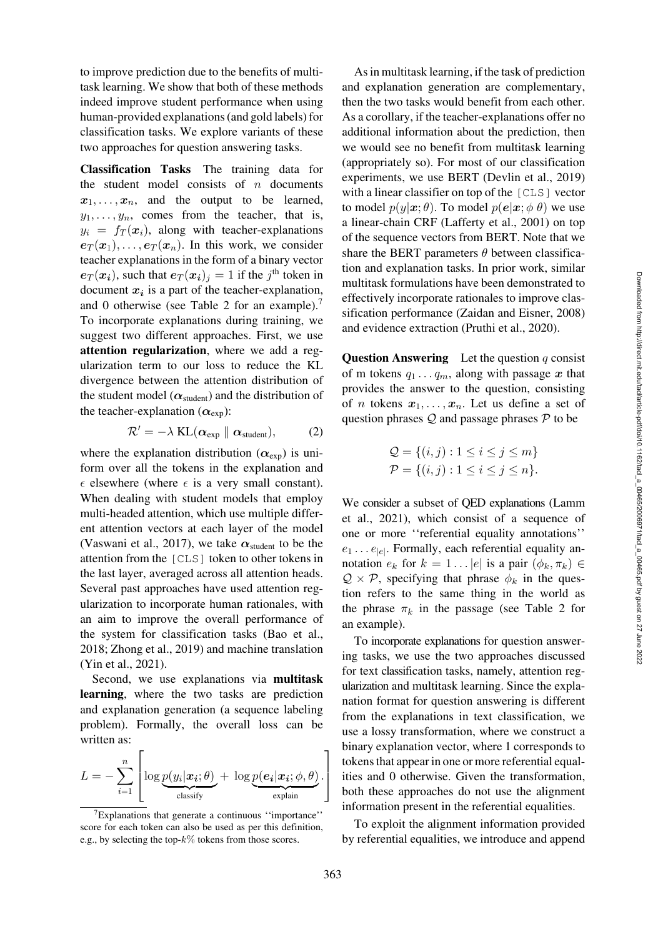to improve prediction due to the benefits of multitask learning. We show that both of these methods indeed improve student performance when using human-provided explanations (and gold labels) for classification tasks. We explore variants of these two approaches for question answering tasks.

Classification Tasks The training data for the student model consists of  $n$  documents  $x_1, \ldots, x_n$ , and the output to be learned,  $y_1, \ldots, y_n$ , comes from the teacher, that is,  $y_i = f_T(\mathbf{x}_i)$ , along with teacher-explanations  $e_T(\mathbf{x}_1),\ldots,e_T(\mathbf{x}_n)$ . In this work, we consider teacher explanations in the form of a binary vector  $e_T(\mathbf{x}_i)$ , such that  $e_T(\mathbf{x}_i)_i = 1$  if the j<sup>th</sup> token in document  $x_i$  is a part of the teacher-explanation, and 0 otherwise (see Table [2](#page-3-2) for an example).<sup>7</sup> To incorporate explanations during training, we suggest two different approaches. First, we use attention regularization, where we add a regularization term to our loss to reduce the KL divergence between the attention distribution of the student model ( $\alpha_{student}$ ) and the distribution of the teacher-explanation  $(\alpha_{\text{exp}})$ :

$$
\mathcal{R}' = -\lambda \mathrm{KL}(\boldsymbol{\alpha}_{\mathrm{exp}} \parallel \boldsymbol{\alpha}_{\mathrm{student}}), \qquad (2)
$$

where the explanation distribution  $(\alpha_{exp})$  is uniform over all the tokens in the explanation and  $\epsilon$  elsewhere (where  $\epsilon$  is a very small constant). When dealing with student models that employ multi-headed attention, which use multiple different attention vectors at each layer of the model [\(Vaswani et al., 2017](#page-14-5)), we take  $\alpha_{student}$  to be the attention from the [CLS] token to other tokens in the last layer, averaged across all attention heads. Several past approaches have used attention regularization to incorporate human rationales, with an aim to improve the overall performance of the system for classification tasks [\(Bao et al.,](#page-12-3) [2018](#page-12-3); [Zhong et al.](#page-14-6), [2019](#page-14-6)) and machine translation [\(Yin et al.](#page-14-7), [2021\)](#page-14-7).

Second, we use explanations via multitask learning, where the two tasks are prediction and explanation generation (a sequence labeling problem). Formally, the overall loss can be written as:

$$
L = -\sum_{i=1}^{n} \left[ \log \underbrace{p(y_i | \boldsymbol{x_i}; \theta)}_{\text{classify}} + \log \underbrace{p(\boldsymbol{e_i} | \boldsymbol{x_i}; \phi, \theta)}_{\text{explain}} \right]
$$

As in multitask learning, if the task of prediction and explanation generation are complementary, then the two tasks would benefit from each other. As a corollary, if the teacher-explanations offer no additional information about the prediction, then we would see no benefit from multitask learning (appropriately so). For most of our classification experiments, we use BERT [\(Devlin et al.](#page-12-4), [2019\)](#page-12-4) with a linear classifier on top of the [CLS] vector to model  $p(y|\boldsymbol{x}; \theta)$ . To model  $p(\boldsymbol{e}|\boldsymbol{x}; \phi \theta)$  we use a linear-chain CRF [\(Lafferty et al.](#page-13-9), [2001\)](#page-13-9) on top of the sequence vectors from BERT. Note that we share the BERT parameters  $\theta$  between classification and explanation tasks. In prior work, similar multitask formulations have been demonstrated to effectively incorporate rationales to improve classification performance [\(Zaidan and Eisner](#page-14-8), [2008\)](#page-14-8) and evidence extraction [\(Pruthi et al.](#page-13-10), [2020\)](#page-13-10).

**Question Answering** Let the question  $q$  consist of m tokens  $q_1 \ldots q_m$ , along with passage x that provides the answer to the question, consisting of *n* tokens  $x_1, \ldots, x_n$ . Let us define a set of question phrases  $Q$  and passage phrases  $P$  to be

$$
Q = \{(i, j) : 1 \le i \le j \le m\}
$$
  

$$
P = \{(i, j) : 1 \le i \le j \le n\}.
$$

We consider a subset of QED explanations (Lamm et al., [2021\)](#page-13-7), which consist of a sequence of one or more ''referential equality annotations''  $e_1 \dots e_{|e|}$ . Formally, each referential equality annotation  $e_k$  for  $k = 1 \dots |e|$  is a pair  $(\phi_k, \pi_k) \in$  $\mathcal{Q} \times \mathcal{P}$ , specifying that phrase  $\phi_k$  in the question refers to the same thing in the world as the phrase  $\pi_k$  in the passage (see Table [2](#page-3-2) for an example).

To incorporate explanations for question answering tasks, we use the two approaches discussed for text classification tasks, namely, attention regularization and multitask learning. Since the explanation format for question answering is different from the explanations in text classification, we use a lossy transformation, where we construct a binary explanation vector, where 1 corresponds to tokens that appear in one or more referential equalities and 0 otherwise. Given the transformation, both these approaches do not use the alignment information present in the referential equalities.

To exploit the alignment information provided by referential equalities, we introduce and append

<span id="page-4-0"></span><sup>7</sup>Explanations that generate a continuous ''importance'' score for each token can also be used as per this definition, e.g., by selecting the top- $k\%$  tokens from those scores.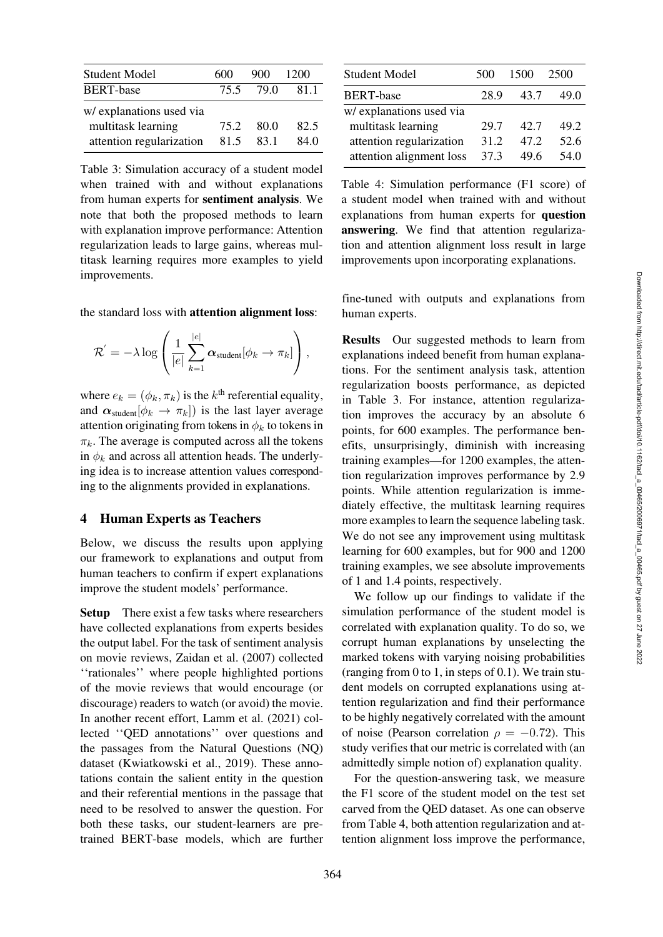| Student Model            | 600  | 900  | 1200 |
|--------------------------|------|------|------|
| <b>BERT-base</b>         | 75.5 | 79.0 | 811  |
| w/ explanations used via |      |      |      |
| multitask learning       | 75.2 | 80.0 | 82.5 |
| attention regularization | 81.5 | 83.1 | 84 O |

<span id="page-5-0"></span>Table 3: Simulation accuracy of a student model when trained with and without explanations from human experts for sentiment analysis. We note that both the proposed methods to learn with explanation improve performance: Attention regularization leads to large gains, whereas multitask learning requires more examples to yield improvements.

the standard loss with attention alignment loss:

$$
\mathcal{R}^{'}=-\lambda \log \left(\frac{1}{|e|}\sum_{k=1}^{|e|}\boldsymbol{\alpha}_{\mathrm{student}}[\phi_k \to \pi_k]\right),
$$

where  $e_k = (\phi_k, \pi_k)$  is the  $k^{\text{th}}$  referential equality, and  $\alpha_{student}[\phi_k \rightarrow \pi_k]$  is the last layer average attention originating from tokens in  $\phi_k$  to tokens in  $\pi_k$ . The average is computed across all the tokens in  $\phi_k$  and across all attention heads. The underlying idea is to increase attention values corresponding to the alignments provided in explanations.

### 4 Human Experts as Teachers

Below, we discuss the results upon applying our framework to explanations and output from human teachers to confirm if expert explanations improve the student models' performance.

Setup There exist a few tasks where researchers have collected explanations from experts besides the output label. For the task of sentiment analysis on movie reviews, [Zaidan et al.](#page-14-9) [\(2007](#page-14-9)) collected ''rationales'' where people highlighted portions of the movie reviews that would encourage (or discourage) readers to watch (or avoid) the movie. In another recent effort, [Lamm et al.](#page-13-7) [\(2021\)](#page-13-7) collected ''QED annotations'' over questions and the passages from the Natural Questions (NQ) dataset [\(Kwiatkowski et al., 2019](#page-13-11)). These annotations contain the salient entity in the question and their referential mentions in the passage that need to be resolved to answer the question. For both these tasks, our student-learners are pretrained BERT-base models, which are further

| <b>Student Model</b>     | 500  | 1500 | 2500 |
|--------------------------|------|------|------|
| <b>BERT-base</b>         | 28.9 | 43.7 | 49.0 |
| w/ explanations used via |      |      |      |
| multitask learning       | 29.7 | 42.7 | 49.2 |
| attention regularization | 31.2 | 47.2 | 52.6 |
| attention alignment loss | 37.3 | 49.6 | 54.0 |

<span id="page-5-1"></span>Table 4: Simulation performance (F1 score) of a student model when trained with and without explanations from human experts for question answering. We find that attention regularization and attention alignment loss result in large improvements upon incorporating explanations.

fine-tuned with outputs and explanations from human experts.

Results Our suggested methods to learn from explanations indeed benefit from human explanations. For the sentiment analysis task, attention regularization boosts performance, as depicted in Table [3.](#page-5-0) For instance, attention regularization improves the accuracy by an absolute 6 points, for 600 examples. The performance benefits, unsurprisingly, diminish with increasing training examples—for 1200 examples, the attention regularization improves performance by 2.9 points. While attention regularization is immediately effective, the multitask learning requires more examples to learn the sequence labeling task. We do not see any improvement using multitask learning for 600 examples, but for 900 and 1200 training examples, we see absolute improvements of 1 and 1.4 points, respectively.

We follow up our findings to validate if the simulation performance of the student model is correlated with explanation quality. To do so, we corrupt human explanations by unselecting the marked tokens with varying noising probabilities (ranging from 0 to 1, in steps of 0.1). We train student models on corrupted explanations using attention regularization and find their performance to be highly negatively correlated with the amount of noise (Pearson correlation  $\rho = -0.72$ ). This study verifies that our metric is correlated with (an admittedly simple notion of) explanation quality.

For the question-answering task, we measure the F1 score of the student model on the test set carved from the QED dataset. As one can observe from Table [4,](#page-5-1) both attention regularization and attention alignment loss improve the performance,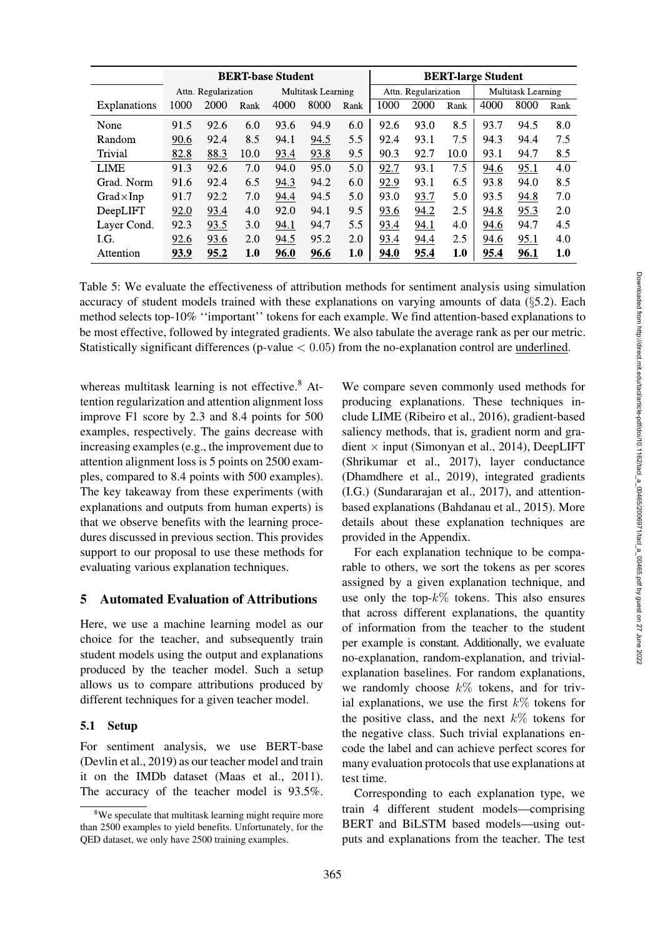|                     |                                                   |      |      | <b>BERT-base Student</b> |      |      | <b>BERT-large Student</b>                  |      |      |      |      |      |
|---------------------|---------------------------------------------------|------|------|--------------------------|------|------|--------------------------------------------|------|------|------|------|------|
|                     | <b>Multitask Learning</b><br>Attn. Regularization |      |      |                          |      |      | Multitask Learning<br>Attn. Regularization |      |      |      |      |      |
| <b>Explanations</b> | 1000                                              | 2000 | Rank | 4000                     | 8000 | Rank | 1000                                       | 2000 | Rank | 4000 | 8000 | Rank |
| None                | 91.5                                              | 92.6 | 6.0  | 93.6                     | 94.9 | 6.0  | 92.6                                       | 93.0 | 8.5  | 93.7 | 94.5 | 8.0  |
| Random              | 90.6                                              | 92.4 | 8.5  | 94.1                     | 94.5 | 5.5  | 92.4                                       | 93.1 | 7.5  | 94.3 | 94.4 | 7.5  |
| Trivial             | 82.8                                              | 88.3 | 10.0 | 93.4                     | 93.8 | 9.5  | 90.3                                       | 92.7 | 10.0 | 93.1 | 94.7 | 8.5  |
| <b>LIME</b>         | 91.3                                              | 92.6 | 7.0  | 94.0                     | 95.0 | 5.0  | 92.7                                       | 93.1 | 7.5  | 94.6 | 95.1 | 4.0  |
| Grad. Norm          | 91.6                                              | 92.4 | 6.5  | 94.3                     | 94.2 | 6.0  | 92.9                                       | 93.1 | 6.5  | 93.8 | 94.0 | 8.5  |
| $Grad \times Imp$   | 91.7                                              | 92.2 | 7.0  | 94.4                     | 94.5 | 5.0  | 93.0                                       | 93.7 | 5.0  | 93.5 | 94.8 | 7.0  |
| DeepLIFT            | 92.0                                              | 93.4 | 4.0  | 92.0                     | 94.1 | 9.5  | 93.6                                       | 94.2 | 2.5  | 94.8 | 95.3 | 2.0  |
| Layer Cond.         | 92.3                                              | 93.5 | 3.0  | 94.1                     | 94.7 | 5.5  | 93.4                                       | 94.1 | 4.0  | 94.6 | 94.7 | 4.5  |
| LG.                 | 92.6                                              | 93.6 | 2.0  | 94.5                     | 95.2 | 2.0  | 93.4                                       | 94.4 | 2.5  | 94.6 | 95.1 | 4.0  |
| Attention           | 93.9                                              | 95.2 | 1.0  | 96.0                     | 96.6 | 1.0  | 94.0                                       | 95.4 | 1.0  | 95.4 | 96.1 | 1.0  |

<span id="page-6-1"></span>Table 5: We evaluate the effectiveness of attribution methods for sentiment analysis using simulation accuracy of student models trained with these explanations on varying amounts of data  $(\S$ [5.2\)](#page-7-0). Each method selects top-10% ''important'' tokens for each example. We find attention-based explanations to be most effective, followed by integrated gradients. We also tabulate the average rank as per our metric. Statistically significant differences (p-value  $< 0.05$ ) from the no-explanation control are underlined.

whereas multitask learning is not effective. $8$  Attention regularization and attention alignment loss improve F1 score by 2.3 and 8.4 points for 500 examples, respectively. The gains decrease with increasing examples (e.g., the improvement due to attention alignment loss is 5 points on 2500 examples, compared to 8.4 points with 500 examples). The key takeaway from these experiments (with explanations and outputs from human experts) is that we observe benefits with the learning procedures discussed in previous section. This provides support to our proposal to use these methods for evaluating various explanation techniques.

### 5 Automated Evaluation of Attributions

Here, we use a machine learning model as our choice for the teacher, and subsequently train student models using the output and explanations produced by the teacher model. Such a setup allows us to compare attributions produced by different techniques for a given teacher model.

### 5.1 Setup

For sentiment analysis, we use BERT-base [\(Devlin et al.](#page-12-4), [2019](#page-12-4)) as our teacher model and train it on the IMDb dataset [\(Maas et al.](#page-13-12), [2011\)](#page-13-12). The accuracy of the teacher model is 93.5%.

We compare seven commonly used methods for producing explanations. These techniques include LIME [\(Ribeiro et al.](#page-14-0), [2016\)](#page-14-0), gradient-based saliency methods, that is, gradient norm and gradient  $\times$  input [\(Simonyan et al.](#page-14-3), [2014\)](#page-14-3), DeepLIFT [\(Shrikumar et al., 2017\)](#page-14-2), layer conductance [\(Dhamdhere et al., 2019](#page-13-6)), integrated gradients (I.G.) [\(Sundararajan et al.](#page-14-1), [2017\)](#page-14-1), and attentionbased explanations [\(Bahdanau et al.](#page-12-1), [2015\)](#page-12-1). More details about these explanation techniques are provided in the Appendix.

For each explanation technique to be comparable to others, we sort the tokens as per scores assigned by a given explanation technique, and use only the top- $k\%$  tokens. This also ensures that across different explanations, the quantity of information from the teacher to the student per example is constant. Additionally, we evaluate no-explanation, random-explanation, and trivialexplanation baselines. For random explanations, we randomly choose  $k\%$  tokens, and for trivial explanations, we use the first  $k\%$  tokens for the positive class, and the next  $k\%$  tokens for the negative class. Such trivial explanations encode the label and can achieve perfect scores for many evaluation protocols that use explanations at test time.

Corresponding to each explanation type, we train 4 different student models—comprising BERT and BiLSTM based models—using outputs and explanations from the teacher. The test

<span id="page-6-0"></span><sup>&</sup>lt;sup>8</sup>We speculate that multitask learning might require more than 2500 examples to yield benefits. Unfortunately, for the QED dataset, we only have 2500 training examples.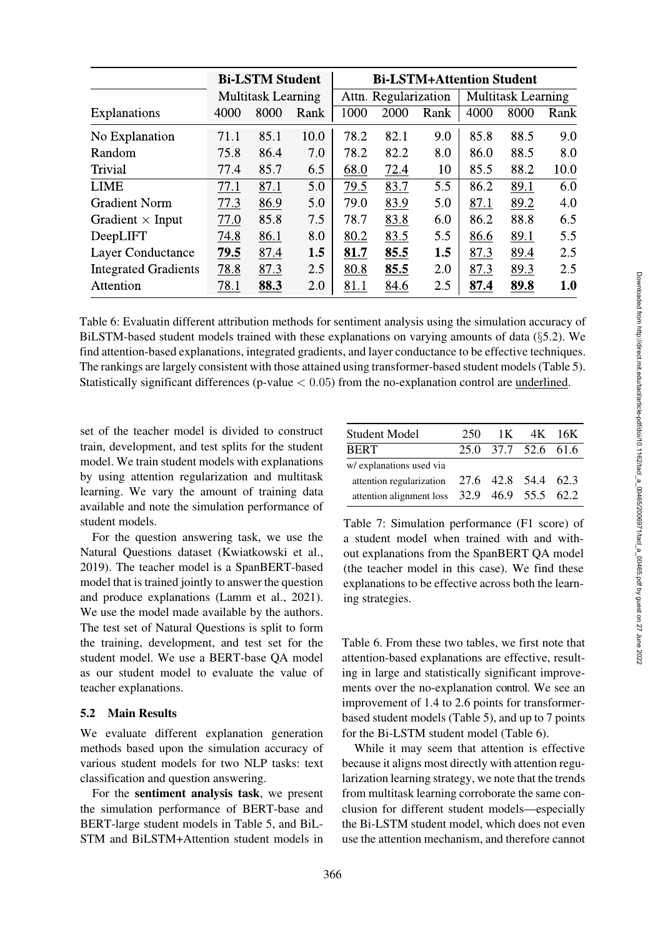|                             |                           | <b>Bi-LSTM Student</b> |      | <b>Bi-LSTM+Attention Student</b> |                      |      |                           |      |      |  |  |  |
|-----------------------------|---------------------------|------------------------|------|----------------------------------|----------------------|------|---------------------------|------|------|--|--|--|
|                             | <b>Multitask Learning</b> |                        |      |                                  | Attn. Regularization |      | <b>Multitask Learning</b> |      |      |  |  |  |
| <b>Explanations</b>         | 4000                      | 8000                   | Rank | 1000                             | 2000                 | Rank | 4000                      | 8000 | Rank |  |  |  |
| No Explanation              | 71.1                      | 85.1                   | 10.0 | 78.2                             | 82.1                 | 9.0  | 85.8                      | 88.5 | 9.0  |  |  |  |
| Random                      | 75.8                      | 86.4                   | 7.0  | 78.2                             | 82.2                 | 8.0  | 86.0                      | 88.5 | 8.0  |  |  |  |
| <b>Trivial</b>              | 77.4                      | 85.7                   | 6.5  | 68.0                             | 72.4                 | 10   | 85.5                      | 88.2 | 10.0 |  |  |  |
| <b>LIME</b>                 | 77.1                      | 87.1                   | 5.0  | 79.5                             | 83.7                 | 5.5  | 86.2                      | 89.1 | 6.0  |  |  |  |
| <b>Gradient Norm</b>        | 77.3                      | 86.9                   | 5.0  | 79.0                             | 83.9                 | 5.0  | 87.1                      | 89.2 | 4.0  |  |  |  |
| Gradient $\times$ Input     | 77.0                      | 85.8                   | 7.5  | 78.7                             | 83.8                 | 6.0  | 86.2                      | 88.8 | 6.5  |  |  |  |
| DeepLIFT                    | 74.8                      | 86.1                   | 8.0  | 80.2                             | 83.5                 | 5.5  | 86.6                      | 89.1 | 5.5  |  |  |  |
| <b>Layer Conductance</b>    | 79.5                      | 87.4                   | 1.5  | 81.7                             | 85.5                 | 1.5  | 87.3                      | 89.4 | 2.5  |  |  |  |
| <b>Integrated Gradients</b> | 78.8                      | 87.3                   | 2.5  | 80.8                             | 85.5                 | 2.0  | 87.3                      | 89.3 | 2.5  |  |  |  |
| Attention                   | 78.1                      | 88.3                   | 2.0  | 81.1                             | 84.6                 | 2.5  | 87.4                      | 89.8 | 1.0  |  |  |  |

<span id="page-7-1"></span>Table 6: Evaluatin different attribution methods for sentiment analysis using the simulation accuracy of BiLSTM-based student models trained with these explanations on varying amounts of data  $(\S$ [5.2\)](#page-7-0). We find attention-based explanations, integrated gradients, and layer conductance to be effective techniques. The rankings are largely consistent with those attained using transformer-based student models (Table [5\)](#page-6-1). Statistically significant differences (p-value  $< 0.05$ ) from the no-explanation control are underlined.

set of the teacher model is divided to construct train, development, and test splits for the student model. We train student models with explanations by using attention regularization and multitask learning. We vary the amount of training data available and note the simulation performance of student models.

For the question answering task, we use the Natural Questions dataset [\(Kwiatkowski et al.,](#page-13-11) [2019](#page-13-11)). The teacher model is a SpanBERT-based model that is trained jointly to answer the question and produce explanations [\(Lamm et al.](#page-13-7), [2021\)](#page-13-7). We use the model made available by the authors. The test set of Natural Questions is split to form the training, development, and test set for the student model. We use a BERT-base QA model as our student model to evaluate the value of teacher explanations.

### <span id="page-7-0"></span>5.2 Main Results

We evaluate different explanation generation methods based upon the simulation accuracy of various student models for two NLP tasks: text classification and question answering.

For the sentiment analysis task, we present the simulation performance of BERT-base and BERT-large student models in Table [5,](#page-6-1) and BiL-STM and BiLSTM+Attention student models in

| Student Model                                  | 250 | 1K |                     | 4K 16K |
|------------------------------------------------|-----|----|---------------------|--------|
| <b>BERT</b>                                    |     |    | 25.0 37.7 52.6 61.6 |        |
| w/ explanations used via                       |     |    |                     |        |
| attention regularization $27.6$ 42.8 54.4 62.3 |     |    |                     |        |
| attention alignment loss $32.9$ 46.9 55.5 62.2 |     |    |                     |        |

<span id="page-7-2"></span>Table 7: Simulation performance (F1 score) of a student model when trained with and without explanations from the SpanBERT QA model (the teacher model in this case). We find these explanations to be effective across both the learning strategies.

Table [6.](#page-7-1) From these two tables, we first note that attention-based explanations are effective, resulting in large and statistically significant improvements over the no-explanation control. We see an improvement of 1.4 to 2.6 points for transformerbased student models (Table [5\)](#page-6-1), and up to 7 points for the Bi-LSTM student model (Table [6\)](#page-7-1).

While it may seem that attention is effective because it aligns most directly with attention regularization learning strategy, we note that the trends from multitask learning corroborate the same conclusion for different student models—especially the Bi-LSTM student model, which does not even use the attention mechanism, and therefore cannot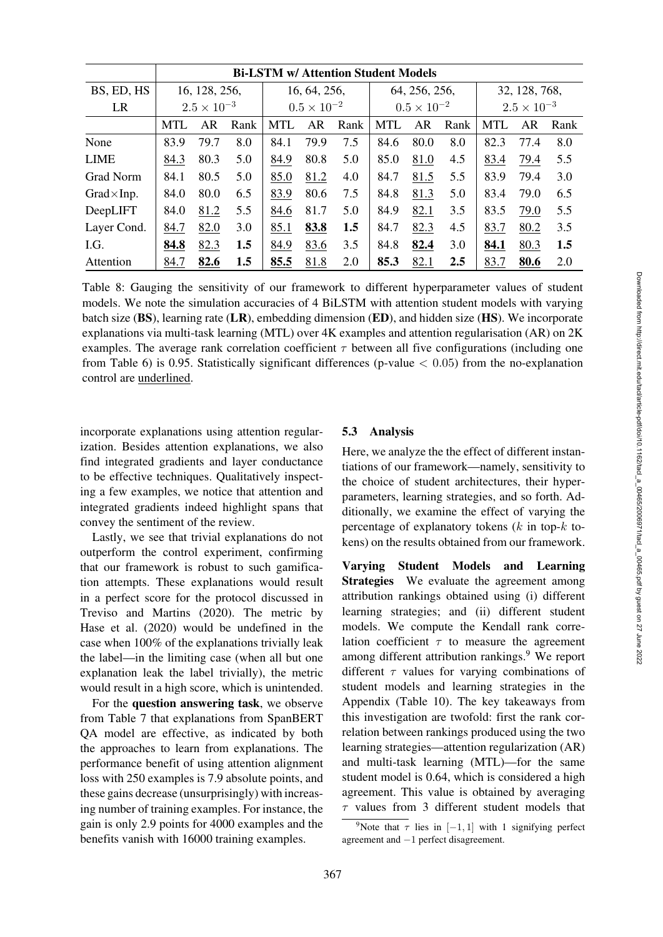| 5                |  |
|------------------|--|
| 5                |  |
| 5                |  |
| 5                |  |
| $\boldsymbol{0}$ |  |
|                  |  |
| lent             |  |
| ing              |  |
| rate             |  |
| 2K               |  |
| one              |  |
| tion             |  |
|                  |  |
|                  |  |
|                  |  |
|                  |  |
|                  |  |
| tan-             |  |
| y to             |  |
| per-             |  |
| $Ad-$            |  |
| the              |  |
| $:$ to-          |  |
| ork.             |  |
|                  |  |

Downloaded from http://direct.mit.edu/tacl/article-pdf/doi/10.1162/tacl\_a\_00465/2006971/tacl\_a\_00465.pdf by guest on 27 June 2022 Downloaded from http://direct.mit.edu/tacl/article-pdf/doi/10.1162/tacl\_a\_00465/2006971/tacl\_a\_00465.pdf by guest on 27 June 2022

|                    | <b>Bi-LSTM w/ Attention Student Models</b> |                      |      |              |                      |      |               |                      |      |               |                      |      |  |  |
|--------------------|--------------------------------------------|----------------------|------|--------------|----------------------|------|---------------|----------------------|------|---------------|----------------------|------|--|--|
| BS, ED, HS         | 16, 128, 256,                              |                      |      | 16, 64, 256, |                      |      | 64, 256, 256, |                      |      | 32, 128, 768, |                      |      |  |  |
| LR                 |                                            | $2.5 \times 10^{-3}$ |      |              | $0.5 \times 10^{-2}$ |      |               | $0.5 \times 10^{-2}$ |      |               | $2.5 \times 10^{-3}$ |      |  |  |
|                    | <b>MTL</b>                                 | AR                   | Rank | <b>MTL</b>   | AR                   | Rank | <b>MTL</b>    | AR                   | Rank | <b>MTL</b>    | AR                   | Rank |  |  |
| None               | 83.9                                       | 79.7                 | 8.0  | 84.1         | 79.9                 | 7.5  | 84.6          | 80.0                 | 8.0  | 82.3          | 77.4                 | 8.0  |  |  |
| <b>LIME</b>        | 84.3                                       | 80.3                 | 5.0  | 84.9         | 80.8                 | 5.0  | 85.0          | 81.0                 | 4.5  | 83.4          | 79.4                 | 5.5  |  |  |
| Grad Norm          | 84.1                                       | 80.5                 | 5.0  | 85.0         | 81.2                 | 4.0  | 84.7          | 81.5                 | 5.5  | 83.9          | 79.4                 | 3.0  |  |  |
| $Grad \times Inp.$ | 84.0                                       | 80.0                 | 6.5  | 83.9         | 80.6                 | 7.5  | 84.8          | 81.3                 | 5.0  | 83.4          | 79.0                 | 6.5  |  |  |
| DeepLIFT           | 84.0                                       | 81.2                 | 5.5  | 84.6         | 81.7                 | 5.0  | 84.9          | 82.1                 | 3.5  | 83.5          | 79.0                 | 5.5  |  |  |
| Layer Cond.        | 84.7                                       | 82.0                 | 3.0  | 85.1         | 83.8                 | 1.5  | 84.7          | 82.3                 | 4.5  | 83.7          | 80.2                 | 3.5  |  |  |
| I.G.               | 84.8                                       | 82.3                 | 1.5  | 84.9         | 83.6                 | 3.5  | 84.8          | 82.4                 | 3.0  | 84.1          | 80.3                 | 1.5  |  |  |
| Attention          | 84.7                                       | 82.6                 | 1.5  | 85.5         | 81.8                 | 2.0  | 85.3          | 82.1                 | 2.5  | 83.7          | 80.6                 | 2.0  |  |  |

<span id="page-8-1"></span>Table 8: Gauging the sensitivity of our framework to different hyperparameter values of stud models. We note the simulation accuracies of 4 BiLSTM with attention student models with vary batch size  $(BS)$ , learning rate  $(LR)$ , embedding dimension  $(ED)$ , and hidden size  $(HS)$ . We incorpor explanations via multi-task learning (MTL) over  $4K$  examples and attention regularisation (AR) on examples. The average rank correlation coefficient  $\tau$  between all five configurations (including from Table [6\)](#page-7-1) is 0.95. Statistically significant differences (p-value  $< 0.05$ ) from the no-explanat control are underlined.

incorporate explanations using attention regularization. Besides attention explanations, we also find integrated gradients and layer conductance to be effective techniques. Qualitatively inspecting a few examples, we notice that attention and integrated gradients indeed highlight spans that convey the sentiment of the review.

Lastly, we see that trivial explanations do not outperform the control experiment, confirming that our framework is robust to such gamification attempts. These explanations would result in a perfect score for the protocol discussed in [Treviso and Martins](#page-14-4) [\(2020\)](#page-14-4). The metric by [Hase et al.](#page-13-2) [\(2020\)](#page-13-2) would be undefined in the case when 100% of the explanations trivially leak the label—in the limiting case (when all but one explanation leak the label trivially), the metric would result in a high score, which is unintended.

For the question answering task, we observe from Table [7](#page-7-2) that explanations from SpanBERT QA model are effective, as indicated by both the approaches to learn from explanations. The performance benefit of using attention alignment loss with 250 examples is 7.9 absolute points, and these gains decrease (unsurprisingly) with increasing number of training examples. For instance, the gain is only 2.9 points for 4000 examples and the benefits vanish with 16000 training examples.

# 5.3 Analysis

Here, we analyze the the effect of different instantiations of our framework—namely, sensitivit the choice of student architectures, their hy parameters, learning strategies, and so forth. ditionally, we examine the effect of varying percentage of explanatory tokens  $(k$  in top- $k$ kens) on the results obtained from our framew

Varying Student Models and Learning Strategies We evaluate the agreement among attribution rankings obtained using (i) different learning strategies; and (ii) different student models. We compute the Kendall rank correlation coefficient  $\tau$  to measure the agreement among different attribution rankings.<sup>9</sup> We report different  $\tau$  values for varying combinations of student models and learning strategies in the Appendix (Table [10\)](#page-16-0). The key takeaways from this investigation are twofold: first the rank correlation between rankings produced using the two learning strategies—attention regularization (AR) and multi-task learning (MTL)—for the same student model is 0.64, which is considered a high agreement. This value is obtained by averaging  $\tau$  values from 3 different student models that

<span id="page-8-0"></span><sup>&</sup>lt;sup>9</sup>Note that  $\tau$  lies in [−1, 1] with 1 signifying perfect agreement and −1 perfect disagreement.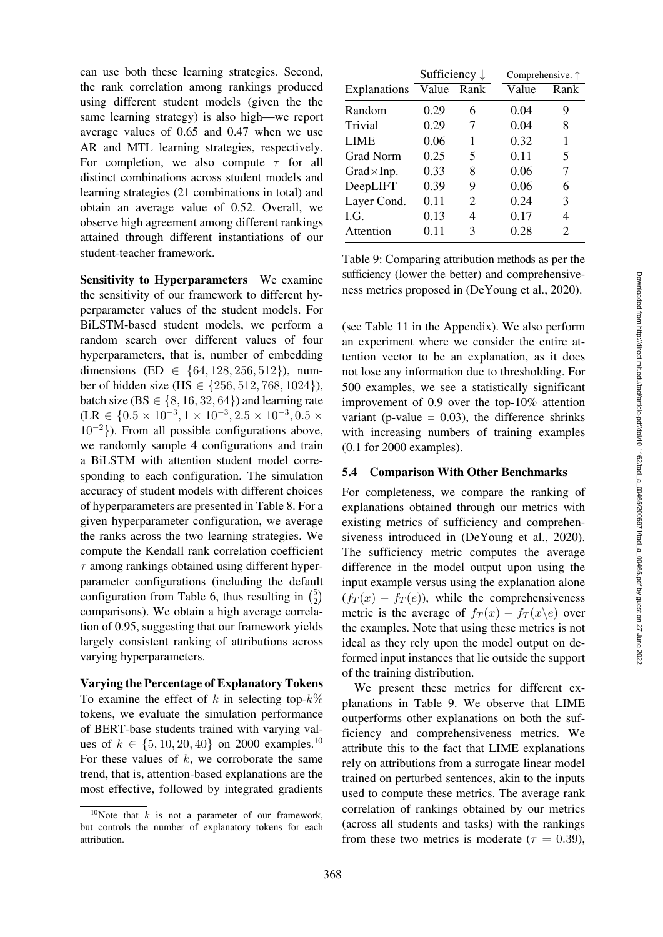can use both these learning strategies. Second, the rank correlation among rankings produced using different student models (given the the same learning strategy) is also high—we report average values of 0.65 and 0.47 when we use AR and MTL learning strategies, respectively. For completion, we also compute  $\tau$  for all distinct combinations across student models and learning strategies (21 combinations in total) and obtain an average value of 0.52. Overall, we observe high agreement among different rankings attained through different instantiations of our student-teacher framework.

Sensitivity to Hyperparameters We examine the sensitivity of our framework to different hyperparameter values of the student models. For BiLSTM-based student models, we perform a random search over different values of four hyperparameters, that is, number of embedding dimensions (ED  $\in \{64, 128, 256, 512\}$ ), number of hidden size (HS ∈ {256, 512, 768, 1024}), batch size (BS  $\in \{8, 16, 32, 64\}$ ) and learning rate (LR ∈ {0.5 × 10<sup>-3</sup>, 1 × 10<sup>-3</sup>, 2.5 × 10<sup>-3</sup>, 0.5 ×  $10^{-2}$ }). From all possible configurations above, we randomly sample 4 configurations and train a BiLSTM with attention student model corresponding to each configuration. The simulation accuracy of student models with different choices of hyperparameters are presented in Table [8.](#page-8-1) For a given hyperparameter configuration, we average the ranks across the two learning strategies. We compute the Kendall rank correlation coefficient  $\tau$  among rankings obtained using different hyperparameter configurations (including the default configuration from Table [6,](#page-7-1) thus resulting in  $\binom{5}{2}$ comparisons). We obtain a high average correlation of 0.95, suggesting that our framework yields largely consistent ranking of attributions across varying hyperparameters.

Varying the Percentage of Explanatory Tokens To examine the effect of k in selecting top- $k\%$ tokens, we evaluate the simulation performance of BERT-base students trained with varying values of  $k \in \{5, 10, 20, 40\}$  on 2000 examples.<sup>10</sup> For these values of  $k$ , we corroborate the same trend, that is, attention-based explanations are the most effective, followed by integrated gradients

|                     | Sufficiency $\downarrow$ |             | Comprehensive. ↑ |      |
|---------------------|--------------------------|-------------|------------------|------|
| <b>Explanations</b> | Value                    | <b>Rank</b> | Value            | Rank |
| Random              | 0.29                     | 6           | 0.04             | 9    |
| Trivial             | 0.29                     | 7           | 0.04             | 8    |
| <b>LIME</b>         | 0.06                     |             | 0.32             | 1    |
| Grad Norm           | 0.25                     | 5           | 0.11             | 5    |
| $Grad \times Imp$ . | 0.33                     | 8           | 0.06             | 7    |
| DeepLIFT            | 0.39                     | 9           | 0.06             | 6    |
| Layer Cond.         | 0.11                     | 2           | 0.24             | 3    |
| LG.                 | 0.13                     | 4           | 0.17             | 4    |
| Attention           | 0.11                     | 3           | 0.28             | 2    |

<span id="page-9-1"></span>Table 9: Comparing attribution methods as per the sufficiency (lower the better) and comprehensiveness metrics proposed in [\(DeYoung et al.](#page-12-0), [2020\)](#page-12-0).

(see [Table 11](#page-16-1) in the Appendix). We also perform an experiment where we consider the entire attention vector to be an explanation, as it does not lose any information due to thresholding. For 500 examples, we see a statistically significant improvement of 0.9 over the top-10% attention variant (p-value  $= 0.03$ ), the difference shrinks with increasing numbers of training examples (0.1 for 2000 examples).

### 5.4 Comparison With Other Benchmarks

For completeness, we compare the ranking of explanations obtained through our metrics with existing metrics of sufficiency and comprehensiveness introduced in [\(DeYoung et al.](#page-12-0), [2020](#page-12-0)). The sufficiency metric computes the average difference in the model output upon using the input example versus using the explanation alone  $(f_T(x) - f_T(e))$ , while the comprehensiveness metric is the average of  $f_T(x) - f_T(x \mid e)$  over the examples. Note that using these metrics is not ideal as they rely upon the model output on deformed input instances that lie outside the support of the training distribution.

We present these metrics for different explanations in Table [9.](#page-9-1) We observe that LIME outperforms other explanations on both the sufficiency and comprehensiveness metrics. We attribute this to the fact that LIME explanations rely on attributions from a surrogate linear model trained on perturbed sentences, akin to the inputs used to compute these metrics. The average rank correlation of rankings obtained by our metrics (across all students and tasks) with the rankings from these two metrics is moderate ( $\tau = 0.39$ ),

<span id="page-9-0"></span><sup>&</sup>lt;sup>10</sup>Note that k is not a parameter of our framework, but controls the number of explanatory tokens for each attribution.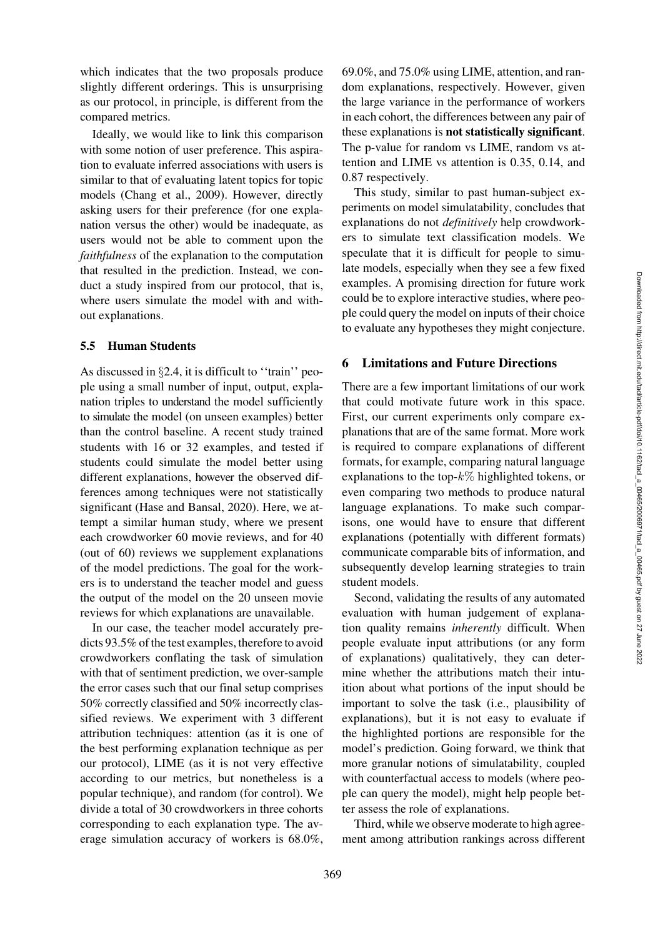which indicates that the two proposals produce slightly different orderings. This is unsurprising as our protocol, in principle, is different from the compared metrics.

Ideally, we would like to link this comparison with some notion of user preference. This aspiration to evaluate inferred associations with users is similar to that of evaluating latent topics for topic models [\(Chang et al., 2009\)](#page-12-5). However, directly asking users for their preference (for one explanation versus the other) would be inadequate, as users would not be able to comment upon the *faithfulness* of the explanation to the computation that resulted in the prediction. Instead, we conduct a study inspired from our protocol, that is, where users simulate the model with and without explanations.

#### 5.5 Human Students

As discussed in  $\S 2.4$ , it is difficult to "train" people using a small number of input, output, explanation triples to understand the model sufficiently to simulate the model (on unseen examples) better than the control baseline. A recent study trained students with 16 or 32 examples, and tested if students could simulate the model better using different explanations, however the observed differences among techniques were not statistically significant [\(Hase and Bansal, 2020](#page-13-5)). Here, we attempt a similar human study, where we present each crowdworker 60 movie reviews, and for 40 (out of 60) reviews we supplement explanations of the model predictions. The goal for the workers is to understand the teacher model and guess the output of the model on the 20 unseen movie reviews for which explanations are unavailable.

In our case, the teacher model accurately predicts 93.5% of the test examples, therefore to avoid crowdworkers conflating the task of simulation with that of sentiment prediction, we over-sample the error cases such that our final setup comprises 50% correctly classified and 50% incorrectly classified reviews. We experiment with 3 different attribution techniques: attention (as it is one of the best performing explanation technique as per our protocol), LIME (as it is not very effective according to our metrics, but nonetheless is a popular technique), and random (for control). We divide a total of 30 crowdworkers in three cohorts corresponding to each explanation type. The average simulation accuracy of workers is 68.0%,

69.0%, and 75.0% using LIME, attention, and random explanations, respectively. However, given the large variance in the performance of workers in each cohort, the differences between any pair of these explanations is not statistically significant. The p-value for random vs LIME, random vs attention and LIME vs attention is 0.35, 0.14, and 0.87 respectively.

This study, similar to past human-subject experiments on model simulatability, concludes that explanations do not *definitively* help crowdworkers to simulate text classification models. We speculate that it is difficult for people to simulate models, especially when they see a few fixed examples. A promising direction for future work could be to explore interactive studies, where people could query the model on inputs of their choice to evaluate any hypotheses they might conjecture.

### 6 Limitations and Future Directions

There are a few important limitations of our work that could motivate future work in this space. First, our current experiments only compare explanations that are of the same format. More work is required to compare explanations of different formats, for example, comparing natural language explanations to the top- $k\%$  highlighted tokens, or even comparing two methods to produce natural language explanations. To make such comparisons, one would have to ensure that different explanations (potentially with different formats) communicate comparable bits of information, and subsequently develop learning strategies to train student models.

Second, validating the results of any automated evaluation with human judgement of explanation quality remains *inherently* difficult. When people evaluate input attributions (or any form of explanations) qualitatively, they can determine whether the attributions match their intuition about what portions of the input should be important to solve the task (i.e., plausibility of explanations), but it is not easy to evaluate if the highlighted portions are responsible for the model's prediction. Going forward, we think that more granular notions of simulatability, coupled with counterfactual access to models (where people can query the model), might help people better assess the role of explanations.

Third, while we observe moderate to high agreement among attribution rankings across different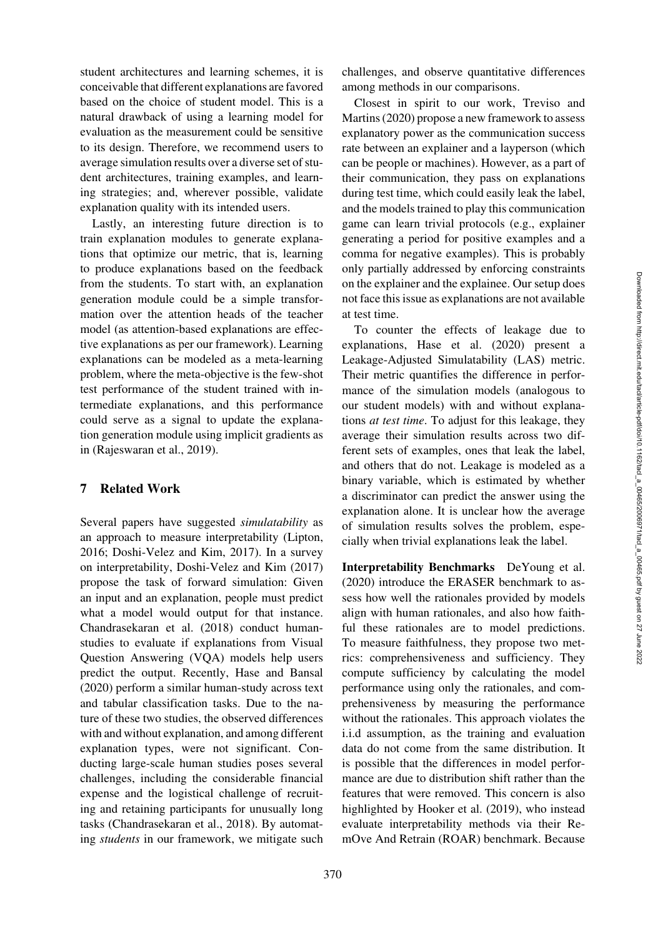student architectures and learning schemes, it is conceivable that different explanations are favored based on the choice of student model. This is a natural drawback of using a learning model for evaluation as the measurement could be sensitive to its design. Therefore, we recommend users to average simulation results over a diverse set of student architectures, training examples, and learning strategies; and, wherever possible, validate explanation quality with its intended users.

Lastly, an interesting future direction is to train explanation modules to generate explanations that optimize our metric, that is, learning to produce explanations based on the feedback from the students. To start with, an explanation generation module could be a simple transformation over the attention heads of the teacher model (as attention-based explanations are effective explanations as per our framework). Learning explanations can be modeled as a meta-learning problem, where the meta-objective is the few-shot test performance of the student trained with intermediate explanations, and this performance could serve as a signal to update the explanation generation module using implicit gradients as in [\(Rajeswaran et al.](#page-13-13), [2019\)](#page-13-13).

### <span id="page-11-0"></span>7 Related Work

Several papers have suggested *simulatability* as an approach to measure interpretability [\(Lipton,](#page-13-0) [2016](#page-13-0); [Doshi-Velez and Kim, 2017\)](#page-13-14). In a survey on interpretability, [Doshi-Velez and Kim](#page-13-14) [\(2017\)](#page-13-14) propose the task of forward simulation: Given an input and an explanation, people must predict what a model would output for that instance. [Chandrasekaran et al.](#page-12-6) [\(2018\)](#page-12-6) conduct humanstudies to evaluate if explanations from Visual Question Answering (VQA) models help users predict the output. Recently, [Hase and Bansal](#page-13-5) [\(2020\)](#page-13-5) perform a similar human-study across text and tabular classification tasks. Due to the nature of these two studies, the observed differences with and without explanation, and among different explanation types, were not significant. Conducting large-scale human studies poses several challenges, including the considerable financial expense and the logistical challenge of recruiting and retaining participants for unusually long tasks [\(Chandrasekaran et al.](#page-12-6), [2018](#page-12-6)). By automating *students* in our framework, we mitigate such challenges, and observe quantitative differences among methods in our comparisons.

Closest in spirit to our work, [Treviso and](#page-14-10) [Martins](#page-14-10) [\(2020](#page-14-4)) propose a new framework to assess explanatory power as the communication success rate between an explainer and a layperson (which can be people or machines). However, as a part of their communication, they pass on explanations during test time, which could easily leak the label, and the models trained to play this communication game can learn trivial protocols (e.g., explainer generating a period for positive examples and a comma for negative examples). This is probably only partially addressed by enforcing constraints on the explainer and the explainee. Our setup does not face this issue as explanations are not available at test time.

To counter the effects of leakage due to explanations, [Hase et al.](#page-13-2) [\(2020](#page-13-2)) present a Leakage-Adjusted Simulatability (LAS) metric. Their metric quantifies the difference in performance of the simulation models (analogous to our student models) with and without explanations *at test time*. To adjust for this leakage, they average their simulation results across two different sets of examples, ones that leak the label, and others that do not. Leakage is modeled as a binary variable, which is estimated by whether a discriminator can predict the answer using the explanation alone. It is unclear how the average of simulation results solves the problem, especially when trivial explanations leak the label.

<span id="page-11-1"></span>[Interpretability Benchmarks](#page-11-1) DeYoung et al. [\(2020\)](#page-12-0) introduce the ERASER benchmark to assess how well the rationales provided by models align with human rationales, and also how faithful these rationales are to model predictions. To measure faithfulness, they propose two metrics: comprehensiveness and sufficiency. They compute sufficiency by calculating the model performance using only the rationales, and comprehensiveness by measuring the performance without the rationales. This approach violates the i.i.d assumption, as the training and evaluation data do not come from the same distribution. It is possible that the differences in model performance are due to distribution shift rather than the features that were removed. This concern is also highlighted by [Hooker et al.](#page-13-15) [\(2019](#page-13-15)), who instead evaluate interpretability methods via their RemOve And Retrain (ROAR) benchmark. Because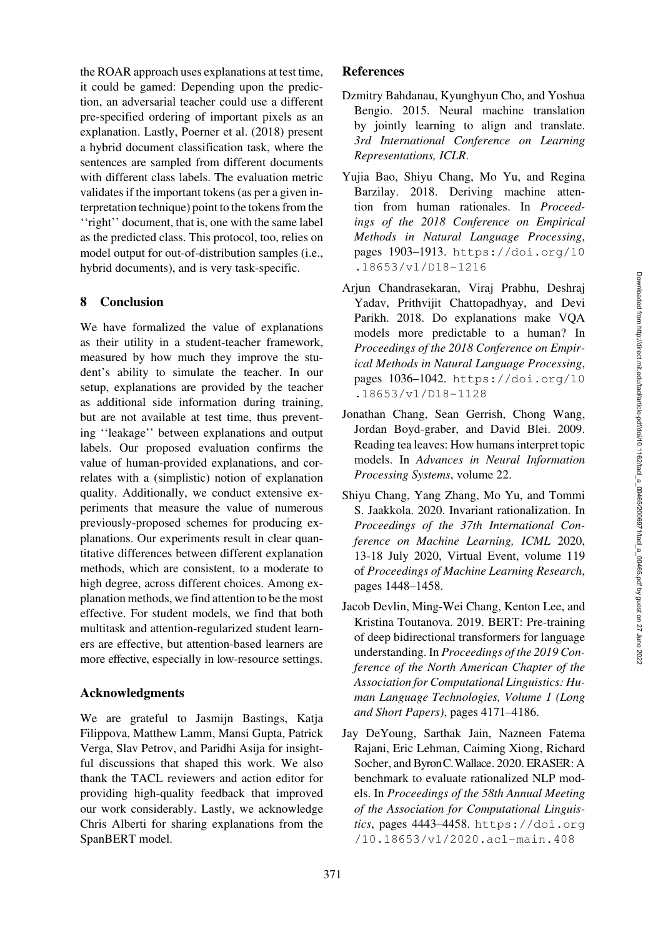the ROAR approach uses explanations at test time, it could be gamed: Depending upon the prediction, an adversarial teacher could use a different pre-specified ordering of important pixels as an explanation. Lastly, [Poerner et al.](#page-13-3) [\(2018](#page-13-3)) present a hybrid document classification task, where the sentences are sampled from different documents with different class labels. The evaluation metric validates if the important tokens (as per a given interpretation technique) point to the tokens from the ''right'' document, that is, one with the same label as the predicted class. This protocol, too, relies on model output for out-of-distribution samples (i.e., hybrid documents), and is very task-specific.

### 8 Conclusion

We have formalized the value of explanations as their utility in a student-teacher framework, measured by how much they improve the student's ability to simulate the teacher. In our setup, explanations are provided by the teacher as additional side information during training, but are not available at test time, thus preventing ''leakage'' between explanations and output labels. Our proposed evaluation confirms the value of human-provided explanations, and correlates with a (simplistic) notion of explanation quality. Additionally, we conduct extensive experiments that measure the value of numerous previously-proposed schemes for producing explanations. Our experiments result in clear quantitative differences between different explanation methods, which are consistent, to a moderate to high degree, across different choices. Among explanation methods, we find attention to be the most effective. For student models, we find that both multitask and attention-regularized student learners are effective, but attention-based learners are more effective, especially in low-resource settings.

### Acknowledgments

We are grateful to Jasmijn Bastings, Katja Filippova, Matthew Lamm, Mansi Gupta, Patrick Verga, Slav Petrov, and Paridhi Asija for insightful discussions that shaped this work. We also thank the TACL reviewers and action editor for providing high-quality feedback that improved our work considerably. Lastly, we acknowledge Chris Alberti for sharing explanations from the SpanBERT model.

## **References**

- <span id="page-12-1"></span>Dzmitry Bahdanau, Kyunghyun Cho, and Yoshua Bengio. 2015. Neural machine translation by jointly learning to align and translate. *3rd International Conference on Learning Representations, ICLR*.
- <span id="page-12-3"></span>Yujia Bao, Shiyu Chang, Mo Yu, and Regina Barzilay. 2018. Deriving machine attention from human rationales. In *Proceedings of the 2018 Conference on Empirical Methods in Natural Language Processing*, pages 1903–1913. [https://doi.org/10](https://doi.org/10.18653/v1/D18-1216) [.18653/v1/D18-1216](https://doi.org/10.18653/v1/D18-1216)
- <span id="page-12-6"></span>Arjun Chandrasekaran, Viraj Prabhu, Deshraj Yadav, Prithvijit Chattopadhyay, and Devi Parikh. 2018. Do explanations make VQA models more predictable to a human? In *Proceedings of the 2018 Conference on Empirical Methods in Natural Language Processing*, pages 1036–1042. [https://doi.org/10](https://doi.org/10.18653/v1/D18-1128) [.18653/v1/D18-1128](https://doi.org/10.18653/v1/D18-1128)
- <span id="page-12-5"></span>Jonathan Chang, Sean Gerrish, Chong Wang, Jordan Boyd-graber, and David Blei. 2009. Reading tea leaves: How humans interpret topic models. In *Advances in Neural Information Processing Systems*, volume 22.
- <span id="page-12-2"></span>Shiyu Chang, Yang Zhang, Mo Yu, and Tommi S. Jaakkola. 2020. Invariant rationalization. In *Proceedings of the 37th International Conference on Machine Learning, ICML* 2020, 13-18 July 2020, Virtual Event, volume 119 of *Proceedings of Machine Learning Research*, pages 1448–1458.
- <span id="page-12-4"></span>Jacob Devlin, Ming-Wei Chang, Kenton Lee, and Kristina Toutanova. 2019. BERT: Pre-training of deep bidirectional transformers for language understanding. In *Proceedings of the 2019 Conference of the North American Chapter of the Association for Computational Linguistics: Human Language Technologies, Volume 1 (Long and Short Papers)*, pages 4171–4186.
- <span id="page-12-0"></span>Jay DeYoung, Sarthak Jain, Nazneen Fatema Rajani, Eric Lehman, Caiming Xiong, Richard Socher, and ByronC.Wallace. 2020. ERASER: A benchmark to evaluate rationalized NLP models. In *Proceedings of the 58th Annual Meeting of the Association for Computational Linguistics*, pages 4443–4458. [https://doi.org](https://doi.org/10.18653/v1/2020.acl-main.408) [/10.18653/v1/2020.acl-main.408](https://doi.org/10.18653/v1/2020.acl-main.408)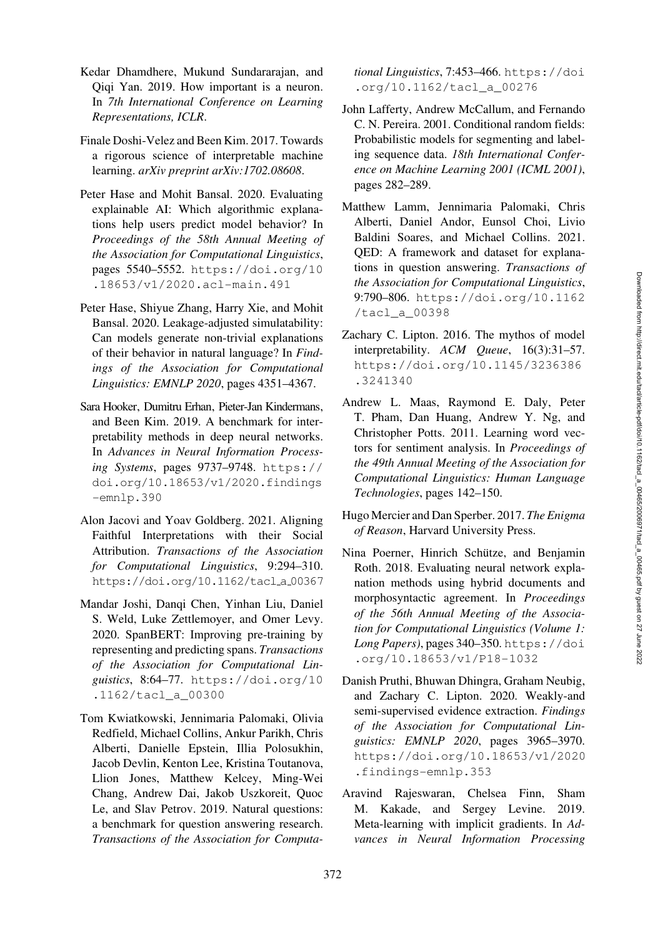- <span id="page-13-6"></span>Kedar Dhamdhere, Mukund Sundararajan, and Qiqi Yan. 2019. How important is a neuron. In *7th International Conference on Learning Representations, ICLR*.
- <span id="page-13-14"></span>Finale Doshi-Velez and Been Kim. 2017. Towards a rigorous science of interpretable machine learning. *arXiv preprint arXiv:1702.08608*.
- <span id="page-13-5"></span>Peter Hase and Mohit Bansal. 2020. Evaluating explainable AI: Which algorithmic explanations help users predict model behavior? In *Proceedings of the 58th Annual Meeting of the Association for Computational Linguistics*, pages 5540–5552. [https://doi.org/10](https://doi.org/10.18653/v1/2020.acl-main.491) [.18653/v1/2020.acl-main.491](https://doi.org/10.18653/v1/2020.acl-main.491)
- <span id="page-13-2"></span>Peter Hase, Shiyue Zhang, Harry Xie, and Mohit Bansal. 2020. Leakage-adjusted simulatability: Can models generate non-trivial explanations of their behavior in natural language? In *Findings of the Association for Computational Linguistics: EMNLP 2020*, pages 4351–4367.
- <span id="page-13-15"></span>Sara Hooker, Dumitru Erhan, Pieter-Jan Kindermans, and Been Kim. 2019. A benchmark for interpretability methods in deep neural networks. In *Advances in Neural Information Processing Systems*, pages 9737–9748. [https://](https://doi.org/10.18653/v1/2020.findings-emnlp.390) [doi.org/10.18653/v1/2020.findings](https://doi.org/10.18653/v1/2020.findings-emnlp.390) [-emnlp.390](https://doi.org/10.18653/v1/2020.findings-emnlp.390)
- <span id="page-13-1"></span>Alon Jacovi and Yoav Goldberg. 2021. Aligning Faithful Interpretations with their Social Attribution. *Transactions of the Association for Computational Linguistics*, 9:294–310. [https://doi.org/10.1162/tacl](https://doi.org/10.1162/tacl_a_00367) a 00367
- <span id="page-13-8"></span>Mandar Joshi, Danqi Chen, Yinhan Liu, Daniel S. Weld, Luke Zettlemoyer, and Omer Levy. 2020. SpanBERT: Improving pre-training by representing and predicting spans. *Transactions of the Association for Computational Linguistics*, 8:64–77. [https://doi.org/10](https://doi.org/10.1162/tacl_a_00300) [.1162/tacl\\_a\\_00300](https://doi.org/10.1162/tacl_a_00300)
- <span id="page-13-11"></span>Tom Kwiatkowski, Jennimaria Palomaki, Olivia Redfield, Michael Collins, Ankur Parikh, Chris Alberti, Danielle Epstein, Illia Polosukhin, Jacob Devlin, Kenton Lee, Kristina Toutanova, Llion Jones, Matthew Kelcey, Ming-Wei Chang, Andrew Dai, Jakob Uszkoreit, Quoc Le, and Slav Petrov. 2019. Natural questions: a benchmark for question answering research. *Transactions of the Association for Computa-*

*tional Linguistics*, 7:453–466. [https://doi](https://doi.org/10.1162/tacl_a_00276) [.org/10.1162/tacl\\_a\\_00276](https://doi.org/10.1162/tacl_a_00276)

- <span id="page-13-9"></span>John Lafferty, Andrew McCallum, and Fernando C. N. Pereira. 2001. Conditional random fields: Probabilistic models for segmenting and labeling sequence data. *18th International Conference on Machine Learning 2001 (ICML 2001)*, pages 282–289.
- <span id="page-13-7"></span>Matthew Lamm, Jennimaria Palomaki, Chris Alberti, Daniel Andor, Eunsol Choi, Livio Baldini Soares, and Michael Collins. 2021. QED: A framework and dataset for explanations in question answering. *Transactions of the Association for Computational Linguistics*, 9:790–806. [https://doi.org/10.1162](https://doi.org/10.1162/tacl_a_00398) [/tacl\\_a\\_00398](https://doi.org/10.1162/tacl_a_00398)
- <span id="page-13-0"></span>Zachary C. Lipton. 2016. The mythos of model interpretability. *ACM Queue*, 16(3):31–57. [https://doi.org/10.1145/3236386](https://doi.org/10.1145/3236386.3241340) [.3241340](https://doi.org/10.1145/3236386.3241340)
- <span id="page-13-12"></span>Andrew L. Maas, Raymond E. Daly, Peter T. Pham, Dan Huang, Andrew Y. Ng, and Christopher Potts. 2011. Learning word vectors for sentiment analysis. In *Proceedings of the 49th Annual Meeting of the Association for Computational Linguistics: Human Language Technologies*, pages 142–150.
- <span id="page-13-4"></span>Hugo Mercier and Dan Sperber. 2017. *The Enigma of Reason*, Harvard University Press.
- <span id="page-13-3"></span>Nina Poerner, Hinrich Schütze, and Benjamin Roth. 2018. Evaluating neural network explanation methods using hybrid documents and morphosyntactic agreement. In *Proceedings of the 56th Annual Meeting of the Association for Computational Linguistics (Volume 1: Long Papers)*, pages 340–350. [https://doi](https://doi.org/10.18653/v1/P18-1032) [.org/10.18653/v1/P18-1032](https://doi.org/10.18653/v1/P18-1032)
- <span id="page-13-10"></span>Danish Pruthi, Bhuwan Dhingra, Graham Neubig, and Zachary C. Lipton. 2020. Weakly-and semi-supervised evidence extraction. *Findings of the Association for Computational Linguistics: EMNLP 2020*, pages 3965–3970. [https://doi.org/10.18653/v1/2020](https://doi.org/10.18653/v1/2020.findings-emnlp.353) [.findings-emnlp.353](https://doi.org/10.18653/v1/2020.findings-emnlp.353)
- <span id="page-13-13"></span>Aravind Rajeswaran, Chelsea Finn, Sham M. Kakade, and Sergey Levine. 2019. Meta-learning with implicit gradients. In *Advances in Neural Information Processing*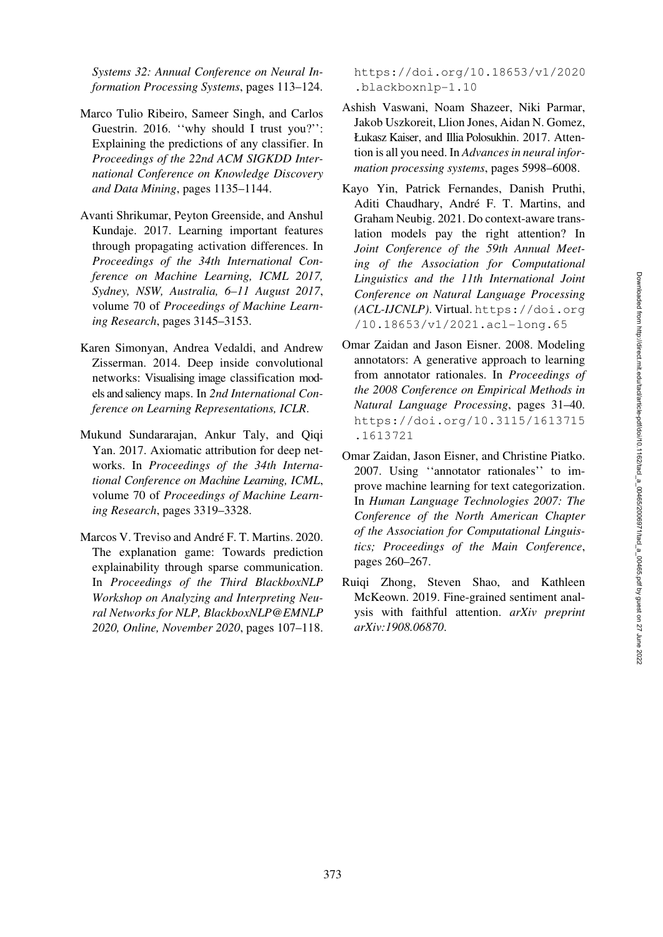*Systems 32: Annual Conference on Neural Information Processing Systems*, pages 113–124.

- <span id="page-14-0"></span>Marco Tulio Ribeiro, Sameer Singh, and Carlos Guestrin. 2016. "why should I trust you?": Explaining the predictions of any classifier. In *Proceedings of the 22nd ACM SIGKDD International Conference on Knowledge Discovery and Data Mining*, pages 1135–1144.
- <span id="page-14-2"></span>Avanti Shrikumar, Peyton Greenside, and Anshul Kundaje. 2017. Learning important features through propagating activation differences. In *Proceedings of the 34th International Conference on Machine Learning, ICML 2017, Sydney, NSW, Australia, 6–11 August 2017*, volume 70 of *Proceedings of Machine Learning Research*, pages 3145–3153.
- <span id="page-14-3"></span>Karen Simonyan, Andrea Vedaldi, and Andrew Zisserman. 2014. Deep inside convolutional networks: Visualising image classification models and saliency maps. In *2nd International Conference on Learning Representations, ICLR*.
- <span id="page-14-1"></span>Mukund Sundararajan, Ankur Taly, and Qiqi Yan. 2017. Axiomatic attribution for deep networks. In *Proceedings of the 34th International Conference on Machine Learning, ICML*, volume 70 of *Proceedings of Machine Learning Research*, pages 3319–3328.
- <span id="page-14-4"></span>Marcos V. Treviso and André F. T. Martins. 2020. The explanation game: Towards prediction explainability through sparse communication. In *Proceedings of the Third BlackboxNLP Workshop on Analyzing and Interpreting Neural Networks for NLP, BlackboxNLP@EMNLP 2020, Online, November 2020*, pages 107–118.

[https://doi.org/10.18653/v1/2020](https://doi.org/10.18653/v1/2020.blackboxnlp-1.10) [.blackboxnlp-1.10](https://doi.org/10.18653/v1/2020.blackboxnlp-1.10)

- <span id="page-14-5"></span>Ashish Vaswani, Noam Shazeer, Niki Parmar, Jakob Uszkoreit, Llion Jones, Aidan N. Gomez, Łukasz Kaiser, and Illia Polosukhin. 2017. Attention is all you need. In *Advances in neural information processing systems*, pages 5998–6008.
- <span id="page-14-7"></span>Kayo Yin, Patrick Fernandes, Danish Pruthi, Aditi Chaudhary, André F. T. Martins, and Graham Neubig. 2021. Do context-aware translation models pay the right attention? In *Joint Conference of the 59th Annual Meeting of the Association for Computational Linguistics and the 11th International Joint Conference on Natural Language Processing (ACL-IJCNLP)*. Virtual. [https://doi.org](https://doi.org/10.18653/v1/2021.acl-long.65) [/10.18653/v1/2021.acl-long.65](https://doi.org/10.18653/v1/2021.acl-long.65)
- <span id="page-14-8"></span>Omar Zaidan and Jason Eisner. 2008. Modeling annotators: A generative approach to learning from annotator rationales. In *Proceedings of the 2008 Conference on Empirical Methods in Natural Language Processing*, pages 31–40. [https://doi.org/10.3115/1613715](https://doi.org/10.3115/1613715.1613721) [.1613721](https://doi.org/10.3115/1613715.1613721)
- <span id="page-14-9"></span>Omar Zaidan, Jason Eisner, and Christine Piatko. 2007. Using ''annotator rationales'' to improve machine learning for text categorization. In *Human Language Technologies 2007: The Conference of the North American Chapter of the Association for Computational Linguistics; Proceedings of the Main Conference*, pages 260–267.
- <span id="page-14-10"></span><span id="page-14-6"></span>Ruiqi Zhong, Steven Shao, and Kathleen McKeown. 2019. Fine-grained sentiment analysis with faithful attention. *arXiv preprint arXiv:1908.06870*.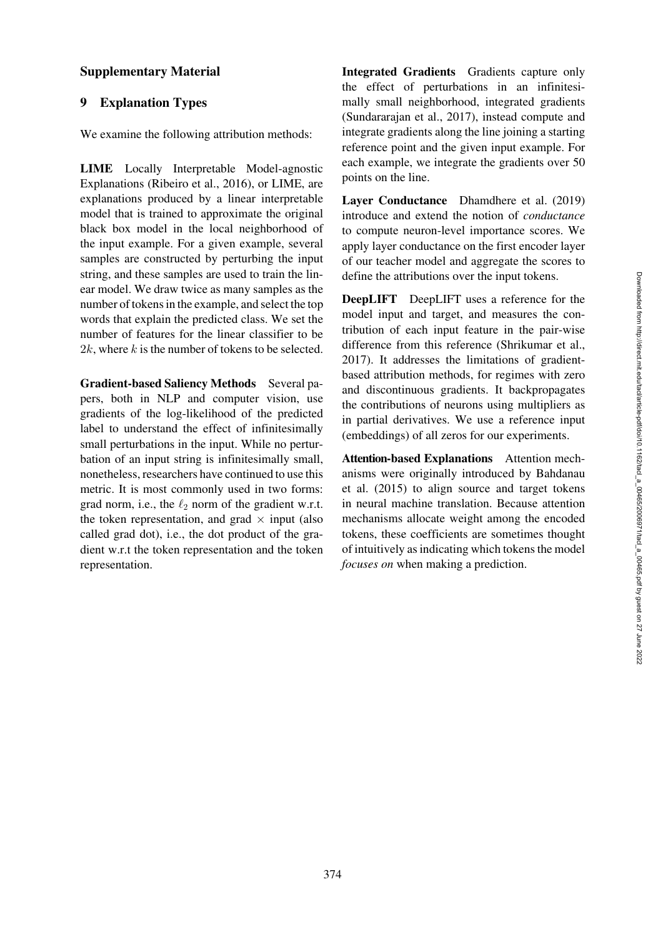### Supplementary Material

## 9 Explanation Types

We examine the following attribution methods:

LIME Locally Interpretable Model-agnostic Explanations [\(Ribeiro et al.](#page-14-0), [2016](#page-14-0)), or LIME, are explanations produced by a linear interpretable model that is trained to approximate the original black box model in the local neighborhood of the input example. For a given example, several samples are constructed by perturbing the input string, and these samples are used to train the linear model. We draw twice as many samples as the number of tokens in the example, and select the top words that explain the predicted class. We set the number of features for the linear classifier to be  $2k$ , where k is the number of tokens to be selected.

Gradient-based Saliency Methods Several papers, both in NLP and computer vision, use gradients of the log-likelihood of the predicted label to understand the effect of infinitesimally small perturbations in the input. While no perturbation of an input string is infinitesimally small, nonetheless, researchers have continued to use this metric. It is most commonly used in two forms: grad norm, i.e., the  $\ell_2$  norm of the gradient w.r.t. the token representation, and grad  $\times$  input (also called grad dot), i.e., the dot product of the gradient w.r.t the token representation and the token representation.

Integrated Gradients Gradients capture only the effect of perturbations in an infinitesimally small neighborhood, integrated gradients [\(Sundararajan et al., 2017](#page-14-1)), instead compute and integrate gradients along the line joining a starting reference point and the given input example. For each example, we integrate the gradients over 50 points on the line.

<span id="page-15-0"></span>[Layer Conductance](#page-15-0) Dhamdhere et al. [\(2019\)](#page-13-6) introduce and extend the notion of *conductance* to compute neuron-level importance scores. We apply layer conductance on the first encoder layer of our teacher model and aggregate the scores to define the attributions over the input tokens.

DeepLIFT DeepLIFT uses a reference for the model input and target, and measures the contribution of each input feature in the pair-wise difference from this reference [\(Shrikumar et al.,](#page-14-2) [2017](#page-14-2)). It addresses the limitations of gradientbased attribution methods, for regimes with zero and discontinuous gradients. It backpropagates the contributions of neurons using multipliers as in partial derivatives. We use a reference input (embeddings) of all zeros for our experiments.

Attention-based Explanations Attention mechanis[ms were originally introduced by](#page-12-1) Bahdanau et al. [\(2015\)](#page-12-1) to align source and target tokens in neural machine translation. Because attention mechanisms allocate weight among the encoded tokens, these coefficients are sometimes thought of intuitively as indicating which tokens the model *focuses on* when making a prediction.